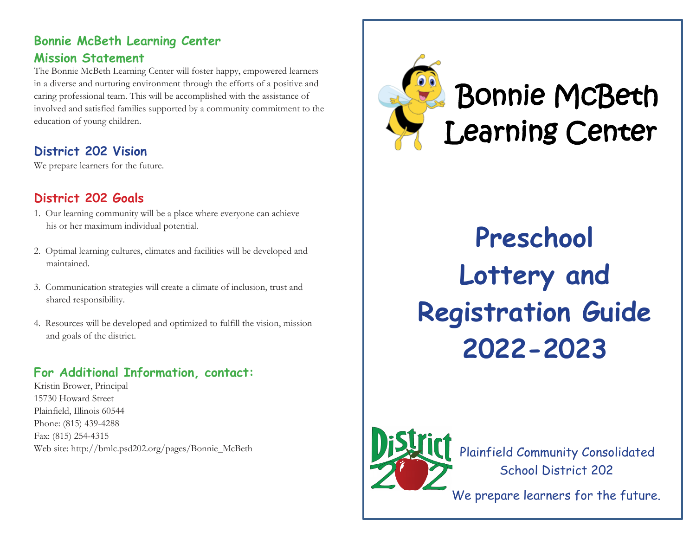#### **Bonnie McBeth Learning Center Mission Statement**

The Bonnie McBeth Learning Center will foster happy, empowered learners in a diverse and nurturing environment through the efforts of a positive and caring professional team. This will be accomplished with the assistance of involved and satisfied families supported by a community commitment to the education of young children.

# **District 202 Vision**

We prepare learners for the future.

# **District 202 Goals**

- 1. Our learning community will be a place where everyone can achieve his or her maximum individual potential.
- 2. Optimal learning cultures, climates and facilities will be developed and maintained.
- 3. Communication strategies will create a climate of inclusion, trust and shared responsibility.
- 4. Resources will be developed and optimized to fulfill the vision, mission and goals of the district.

## **For Additional Information, contact:**

Kristin Brower, Principal 15730 Howard Street Plainfield, Illinois 60544 Phone: (815) 439-4288 Fax: (815) 254-4315 Web site: http://bmlc.psd202.org/pages/Bonnie\_McBeth



# Bonnie McBeth Learning Center

**Preschool Lottery and Registration Guide 2022-2023**



Plainfield Community Consolidated School District 202

We prepare learners for the future.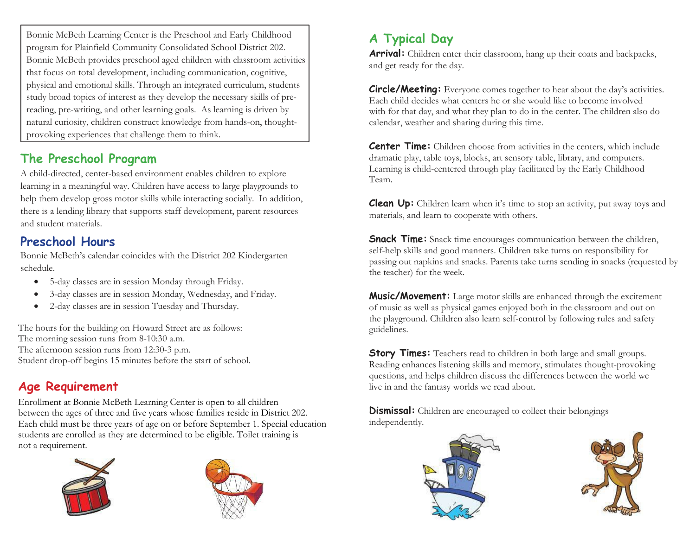Bonnie McBeth Learning Center is the Preschool and Early Childhood program for Plainfield Community Consolidated School District 202. Bonnie McBeth provides preschool aged children with classroom activities that focus on total development, including communication, cognitive, physical and emotional skills. Through an integrated curriculum, students study broad topics of interest as they develop the necessary skills of prereading, pre-writing, and other learning goals. As learning is driven by natural curiosity, children construct knowledge from hands-on, thoughtprovoking experiences that challenge them to think.

# **The Preschool Program**

A child-directed, center-based environment enables children to explore learning in a meaningful way. Children have access to large playgrounds to help them develop gross motor skills while interacting socially. In addition, there is a lending library that supports staff development, parent resources and student materials.

## **Preschool Hours**

Bonnie McBeth's calendar coincides with the District 202 Kindergarten schedule.

- 5-day classes are in session Monday through Friday.
- 3-day classes are in session Monday, Wednesday, and Friday.
- 2-day classes are in session Tuesday and Thursday.

The hours for the building on Howard Street are as follows: The morning session runs from 8-10:30 a.m. The afternoon session runs from 12:30-3 p.m. Student drop-off begins 15 minutes before the start of school.

# **Age Requirement**

Enrollment at Bonnie McBeth Learning Center is open to all children between the ages of three and five years whose families reside in District 202. Each child must be three years of age on or before September 1. Special education students are enrolled as they are determined to be eligible. Toilet training is not a requirement.





# **A Typical Day**

**Arrival:** Children enter their classroom, hang up their coats and backpacks, and get ready for the day.

**Circle/Meeting:** Everyone comes together to hear about the day's activities. Each child decides what centers he or she would like to become involved with for that day, and what they plan to do in the center. The children also do calendar, weather and sharing during this time.

**Center Time:** Children choose from activities in the centers, which include dramatic play, table toys, blocks, art sensory table, library, and computers. Learning is child-centered through play facilitated by the Early Childhood Team.

**Clean Up:** Children learn when it's time to stop an activity, put away toys and materials, and learn to cooperate with others.

**Snack Time:** Snack time encourages communication between the children, self-help skills and good manners. Children take turns on responsibility for passing out napkins and snacks. Parents take turns sending in snacks (requested by the teacher) for the week.

**Music/Movement:** Large motor skills are enhanced through the excitement of music as well as physical games enjoyed both in the classroom and out on the playground. Children also learn self-control by following rules and safety guidelines.

**Story Times:** Teachers read to children in both large and small groups. Reading enhances listening skills and memory, stimulates thought-provoking questions, and helps children discuss the differences between the world we live in and the fantasy worlds we read about.

**Dismissal:** Children are encouraged to collect their belongings independently.



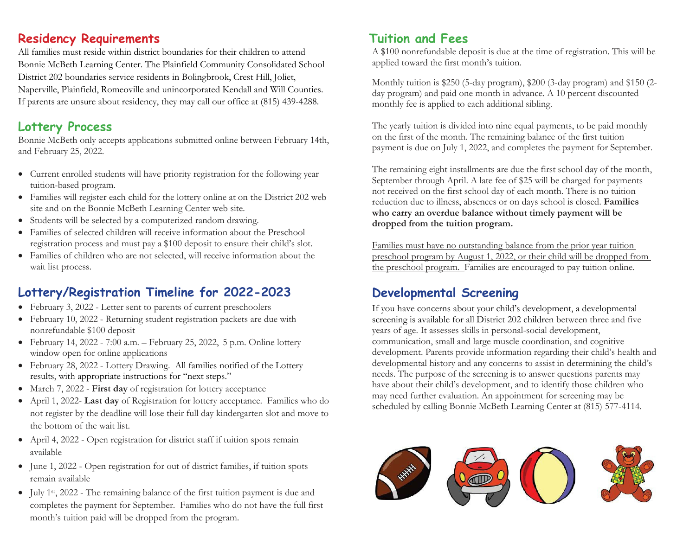#### **Residency Requirements**

All families must reside within district boundaries for their children to attend Bonnie McBeth Learning Center. The Plainfield Community Consolidated School District 202 boundaries service residents in Bolingbrook, Crest Hill, Joliet, Naperville, Plainfield, Romeoville and unincorporated Kendall and Will Counties. If parents are unsure about residency, they may call our office at (815) 439-4288.

## **Lottery Process**

Bonnie McBeth only accepts applications submitted online between February 14th, and February 25, 2022.

- Current enrolled students will have priority registration for the following year tuition-based program.
- Families will register each child for the lottery online at on the District 202 web site and on the Bonnie McBeth Learning Center web site.
- Students will be selected by a computerized random drawing.
- Families of selected children will receive information about the Preschool registration process and must pay a \$100 deposit to ensure their child's slot.
- Families of children who are not selected, will receive information about the wait list process.

# **Lottery/Registration Timeline for 2022-2023**

- February 3, 2022 Letter sent to parents of current preschoolers
- February 10, 2022 Returning student registration packets are due with nonrefundable \$100 deposit
- February 14, 2022 7:00 a.m. February 25, 2022, 5 p.m. Online lottery window open for online applications
- February 28, 2022 Lottery Drawing. All families notified of the Lottery results, with appropriate instructions for "next steps."
- March 7, 2022 **First day** of registration for lottery acceptance
- April 1, 2022- **Last day** of Registration for lottery acceptance. Families who do not register by the deadline will lose their full day kindergarten slot and move to the bottom of the wait list.
- April 4, 2022 Open registration for district staff if tuition spots remain available
- June 1, 2022 Open registration for out of district families, if tuition spots remain available
- July 1st, 2022 The remaining balance of the first tuition payment is due and completes the payment for September. Families who do not have the full first month's tuition paid will be dropped from the program.

#### **Tuition and Fees**

A \$100 nonrefundable deposit is due at the time of registration. This will be applied toward the first month's tuition.

Monthly tuition is \$250 (5-day program), \$200 (3-day program) and \$150 (2 day program) and paid one month in advance. A 10 percent discounted monthly fee is applied to each additional sibling.

The yearly tuition is divided into nine equal payments, to be paid monthly on the first of the month. The remaining balance of the first tuition payment is due on July 1, 2022, and completes the payment for September.

The remaining eight installments are due the first school day of the month, September through April. A late fee of \$25 will be charged for payments not received on the first school day of each month. There is no tuition reduction due to illness, absences or on days school is closed. **Families who carry an overdue balance without timely payment will be dropped from the tuition program.**

Families must have no outstanding balance from the prior year tuition preschool program by August 1, 2022, or their child will be dropped from the preschool program. Families are encouraged to pay tuition online.

# **Developmental Screening**

If you have concerns about your child's development, a developmental screening is available for all District 202 children between three and five years of age. It assesses skills in personal-social development, communication, small and large muscle coordination, and cognitive development. Parents provide information regarding their child's health and developmental history and any concerns to assist in determining the child's needs. The purpose of the screening is to answer questions parents may have about their child's development, and to identify those children who may need further evaluation. An appointment for screening may be scheduled by calling Bonnie McBeth Learning Center at (815) 577-4114.